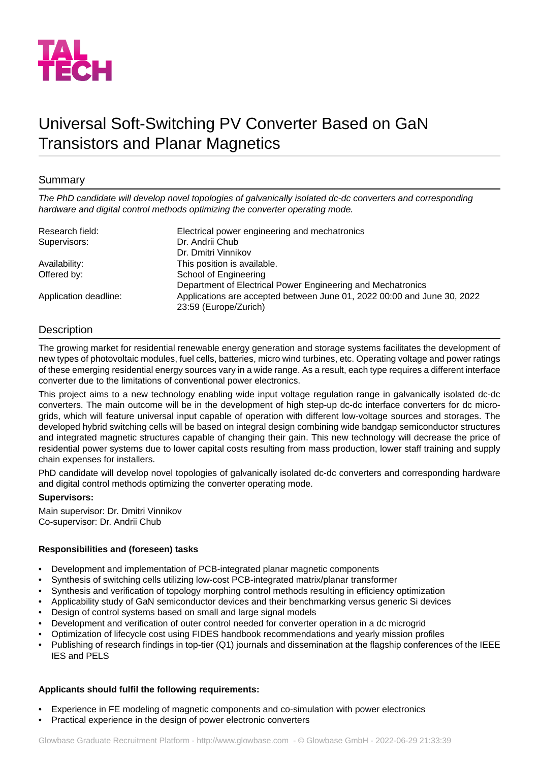

# Universal Soft-Switching PV Converter Based on GaN Transistors and Planar Magnetics

# Summary

*The PhD candidate will develop novel topologies of galvanically isolated dc-dc converters and corresponding hardware and digital control methods optimizing the converter operating mode.*

| Research field:       | Electrical power engineering and mechatronics                           |
|-----------------------|-------------------------------------------------------------------------|
| Supervisors:          | Dr. Andrii Chub                                                         |
|                       | Dr. Dmitri Vinnikov                                                     |
| Availability:         | This position is available.                                             |
| Offered by:           | School of Engineering                                                   |
|                       | Department of Electrical Power Engineering and Mechatronics             |
| Application deadline: | Applications are accepted between June 01, 2022 00:00 and June 30, 2022 |
|                       | 23:59 (Europe/Zurich)                                                   |

## **Description**

The growing market for residential renewable energy generation and storage systems facilitates the development of new types of photovoltaic modules, fuel cells, batteries, micro wind turbines, etc. Operating voltage and power ratings of these emerging residential energy sources vary in a wide range. As a result, each type requires a different interface converter due to the limitations of conventional power electronics.

This project aims to a new technology enabling wide input voltage regulation range in galvanically isolated dc-dc converters. The main outcome will be in the development of high step-up dc-dc interface converters for dc microgrids, which will feature universal input capable of operation with different low-voltage sources and storages. The developed hybrid switching cells will be based on integral design combining wide bandgap semiconductor structures and integrated magnetic structures capable of changing their gain. This new technology will decrease the price of residential power systems due to lower capital costs resulting from mass production, lower staff training and supply chain expenses for installers.

PhD candidate will develop novel topologies of galvanically isolated dc-dc converters and corresponding hardware and digital control methods optimizing the converter operating mode.

#### **Supervisors:**

Main supervisor: Dr. Dmitri Vinnikov Co-supervisor: Dr. Andrii Chub

## **Responsibilities and (foreseen) tasks**

- Development and implementation of PCB-integrated planar magnetic components
- Synthesis of switching cells utilizing low-cost PCB-integrated matrix/planar transformer
- Synthesis and verification of topology morphing control methods resulting in efficiency optimization
- Applicability study of GaN semiconductor devices and their benchmarking versus generic Si devices
- Design of control systems based on small and large signal models
- Development and verification of outer control needed for converter operation in a dc microgrid
- Optimization of lifecycle cost using FIDES handbook recommendations and yearly mission profiles
- Publishing of research findings in top-tier (Q1) journals and dissemination at the flagship conferences of the IEEE IES and PELS

## **Applicants should fulfil the following requirements:**

- Experience in FE modeling of magnetic components and co-simulation with power electronics
- Practical experience in the design of power electronic converters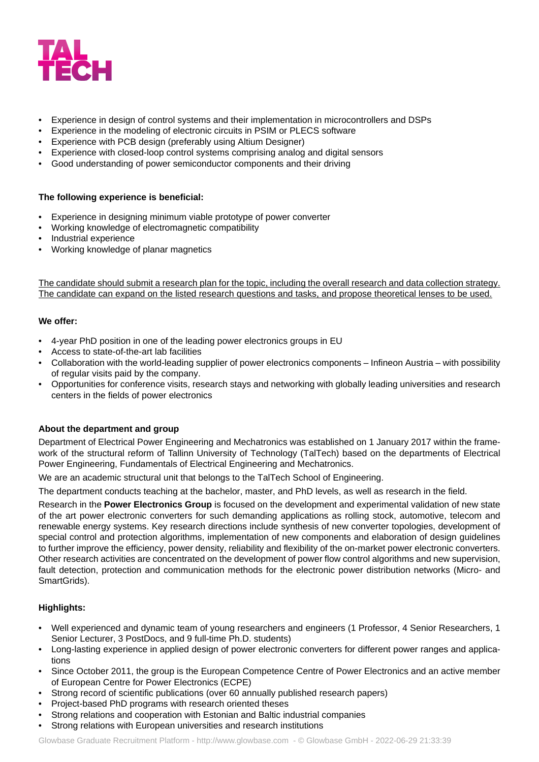

- Experience in design of control systems and their implementation in microcontrollers and DSPs
- Experience in the modeling of electronic circuits in PSIM or PLECS software
- Experience with PCB design (preferably using Altium Designer)
- Experience with closed-loop control systems comprising analog and digital sensors
- Good understanding of power semiconductor components and their driving

## **The following experience is beneficial:**

- Experience in designing minimum viable prototype of power converter
- Working knowledge of electromagnetic compatibility
- Industrial experience
- Working knowledge of planar magnetics

The candidate should submit a research plan for the topic, including the overall research and data collection strategy. The candidate can expand on the listed research questions and tasks, and propose theoretical lenses to be used.

#### **We offer:**

- 4-year PhD position in one of the leading power electronics groups in EU
- Access to state-of-the-art lab facilities
- Collaboration with the world-leading supplier of power electronics components Infineon Austria with possibility of regular visits paid by the company.
- Opportunities for conference visits, research stays and networking with globally leading universities and research centers in the fields of power electronics

## **About the department and group**

Department of Electrical Power Engineering and Mechatronics was established on 1 January 2017 within the framework of the structural reform of Tallinn University of Technology (TalTech) based on the departments of Electrical Power Engineering, Fundamentals of Electrical Engineering and Mechatronics.

We are an academic structural unit that belongs to the TalTech School of Engineering.

The department conducts teaching at the bachelor, master, and PhD levels, as well as research in the field.

Research in the **Power Electronics Group** is focused on the development and experimental validation of new state of the art power electronic converters for such demanding applications as rolling stock, automotive, telecom and renewable energy systems. Key research directions include synthesis of new converter topologies, development of special control and protection algorithms, implementation of new components and elaboration of design guidelines to further improve the efficiency, power density, reliability and flexibility of the on-market power electronic converters. Other research activities are concentrated on the development of power flow control algorithms and new supervision, fault detection, protection and communication methods for the electronic power distribution networks (Micro- and SmartGrids).

## **Highlights:**

- Well experienced and dynamic team of young researchers and engineers (1 Professor, 4 Senior Researchers, 1 Senior Lecturer, 3 PostDocs, and 9 full-time Ph.D. students)
- Long-lasting experience in applied design of power electronic converters for different power ranges and applications
- Since October 2011, the group is the European Competence Centre of Power Electronics and an active member of European Centre for Power Electronics (ECPE)
- Strong record of scientific publications (over 60 annually published research papers)
- Project-based PhD programs with research oriented theses
- Strong relations and cooperation with Estonian and Baltic industrial companies
- Strong relations with European universities and research institutions